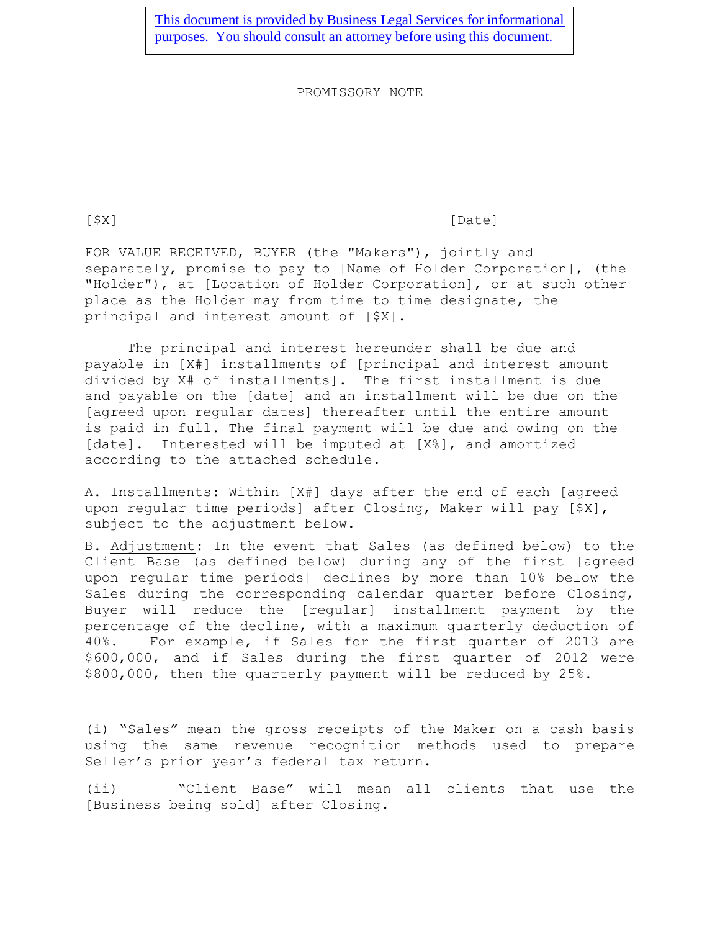[This document is provided by Business Legal Services for informational](http://www.businesslegalservicesinc.com/)  [purposes. You should consult an attorney before using this document.](http://www.businesslegalservicesinc.com/)

PROMISSORY NOTE

[\$X] [Date]

FOR VALUE RECEIVED, BUYER (the "Makers"), jointly and separately, promise to pay to [Name of Holder Corporation], (the "Holder"), at [Location of Holder Corporation], or at such other place as the Holder may from time to time designate, the principal and interest amount of [\$X].

The principal and interest hereunder shall be due and payable in [X#] installments of [principal and interest amount divided by X# of installments]. The first installment is due and payable on the [date] and an installment will be due on the [agreed upon regular dates] thereafter until the entire amount is paid in full. The final payment will be due and owing on the [date]. Interested will be imputed at [X%], and amortized according to the attached schedule.

A. Installments: Within [X#] days after the end of each [agreed upon regular time periods] after Closing, Maker will pay [\$X], subject to the adjustment below.

B. Adjustment: In the event that Sales (as defined below) to the Client Base (as defined below) during any of the first [agreed upon regular time periods] declines by more than 10% below the Sales during the corresponding calendar quarter before Closing, Buyer will reduce the [regular] installment payment by the percentage of the decline, with a maximum quarterly deduction of 40%. For example, if Sales for the first quarter of 2013 are \$600,000, and if Sales during the first quarter of 2012 were \$800,000, then the quarterly payment will be reduced by 25%.

(i) "Sales" mean the gross receipts of the Maker on a cash basis using the same revenue recognition methods used to prepare Seller's prior year's federal tax return.

(ii) "Client Base" will mean all clients that use the [Business being sold] after Closing.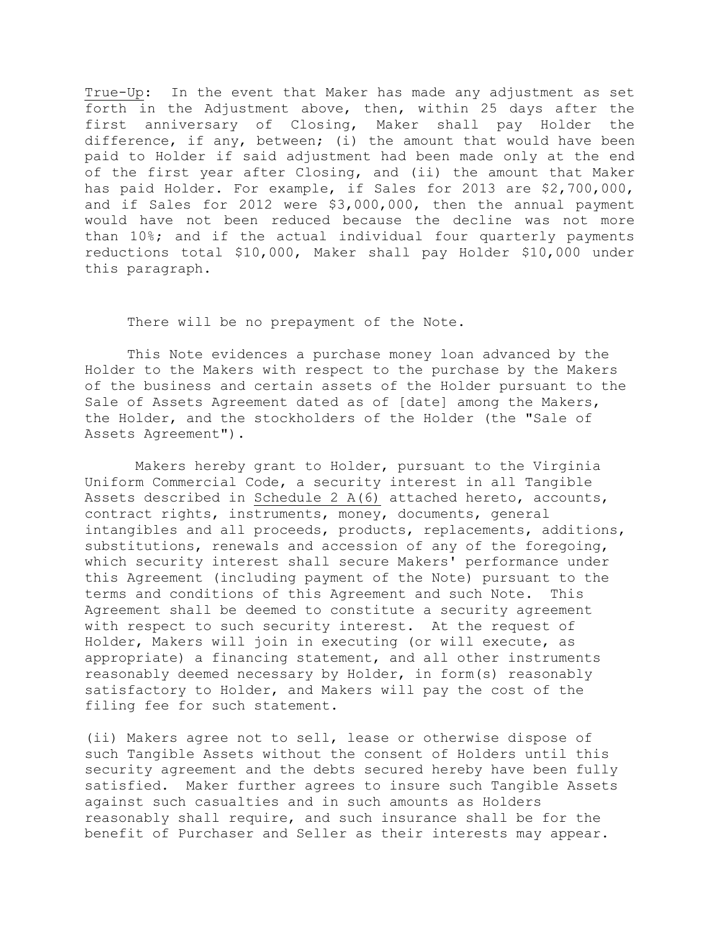True-Up: In the event that Maker has made any adjustment as set forth in the Adjustment above, then, within 25 days after the first anniversary of Closing, Maker shall pay Holder the difference, if any, between; (i) the amount that would have been paid to Holder if said adjustment had been made only at the end of the first year after Closing, and (ii) the amount that Maker has paid Holder. For example, if Sales for 2013 are \$2,700,000, and if Sales for 2012 were \$3,000,000, then the annual payment would have not been reduced because the decline was not more than 10%; and if the actual individual four quarterly payments reductions total \$10,000, Maker shall pay Holder \$10,000 under this paragraph.

There will be no prepayment of the Note.

This Note evidences a purchase money loan advanced by the Holder to the Makers with respect to the purchase by the Makers of the business and certain assets of the Holder pursuant to the Sale of Assets Agreement dated as of [date] among the Makers, the Holder, and the stockholders of the Holder (the "Sale of Assets Agreement").

 Makers hereby grant to Holder, pursuant to the Virginia Uniform Commercial Code, a security interest in all Tangible Assets described in Schedule 2 A(6) attached hereto, accounts, contract rights, instruments, money, documents, general intangibles and all proceeds, products, replacements, additions, substitutions, renewals and accession of any of the foregoing, which security interest shall secure Makers' performance under this Agreement (including payment of the Note) pursuant to the terms and conditions of this Agreement and such Note. This Agreement shall be deemed to constitute a security agreement with respect to such security interest. At the request of Holder, Makers will join in executing (or will execute, as appropriate) a financing statement, and all other instruments reasonably deemed necessary by Holder, in form(s) reasonably satisfactory to Holder, and Makers will pay the cost of the filing fee for such statement.

(ii) Makers agree not to sell, lease or otherwise dispose of such Tangible Assets without the consent of Holders until this security agreement and the debts secured hereby have been fully satisfied. Maker further agrees to insure such Tangible Assets against such casualties and in such amounts as Holders reasonably shall require, and such insurance shall be for the benefit of Purchaser and Seller as their interests may appear.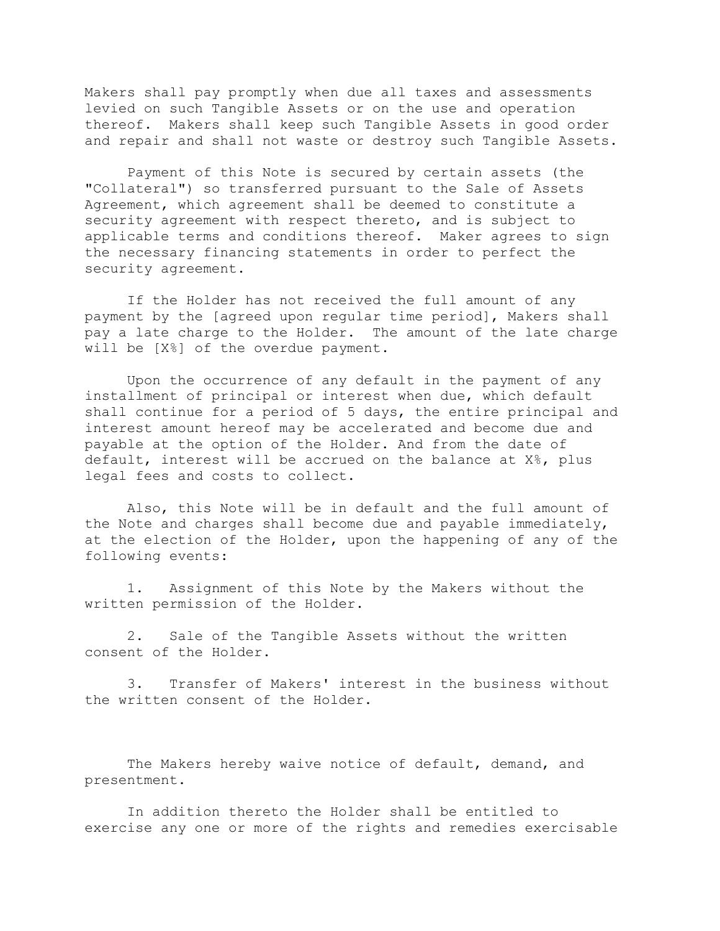Makers shall pay promptly when due all taxes and assessments levied on such Tangible Assets or on the use and operation thereof. Makers shall keep such Tangible Assets in good order and repair and shall not waste or destroy such Tangible Assets.

Payment of this Note is secured by certain assets (the "Collateral") so transferred pursuant to the Sale of Assets Agreement, which agreement shall be deemed to constitute a security agreement with respect thereto, and is subject to applicable terms and conditions thereof. Maker agrees to sign the necessary financing statements in order to perfect the security agreement.

If the Holder has not received the full amount of any payment by the [agreed upon regular time period], Makers shall pay a late charge to the Holder. The amount of the late charge will be [X%] of the overdue payment.

Upon the occurrence of any default in the payment of any installment of principal or interest when due, which default shall continue for a period of 5 days, the entire principal and interest amount hereof may be accelerated and become due and payable at the option of the Holder. And from the date of default, interest will be accrued on the balance at X%, plus legal fees and costs to collect.

Also, this Note will be in default and the full amount of the Note and charges shall become due and payable immediately, at the election of the Holder, upon the happening of any of the following events:

1. Assignment of this Note by the Makers without the written permission of the Holder.

2. Sale of the Tangible Assets without the written consent of the Holder.

3. Transfer of Makers' interest in the business without the written consent of the Holder.

The Makers hereby waive notice of default, demand, and presentment.

In addition thereto the Holder shall be entitled to exercise any one or more of the rights and remedies exercisable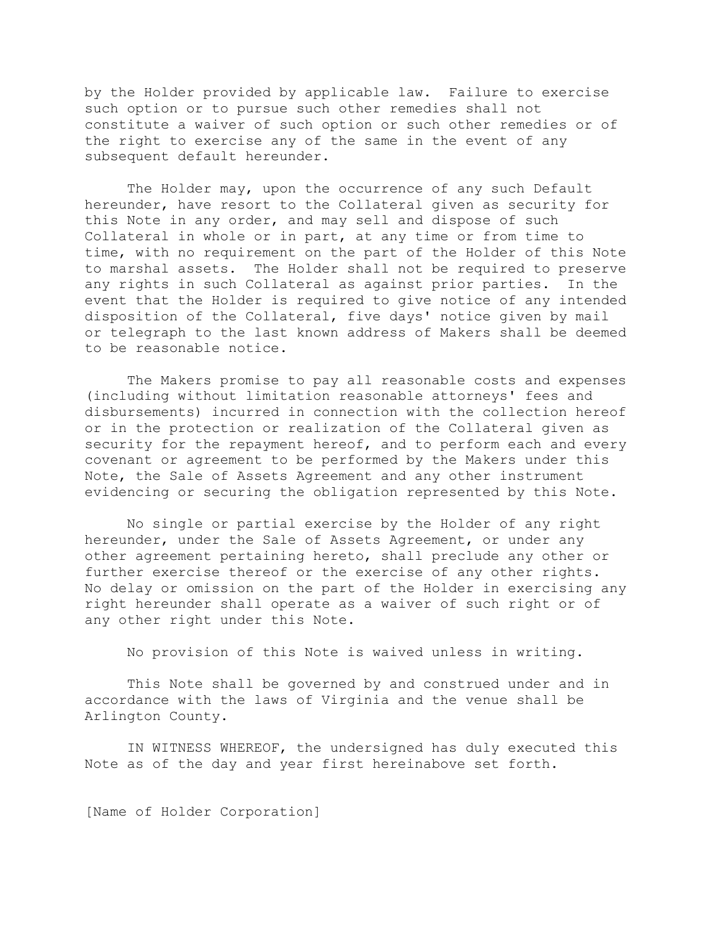by the Holder provided by applicable law. Failure to exercise such option or to pursue such other remedies shall not constitute a waiver of such option or such other remedies or of the right to exercise any of the same in the event of any subsequent default hereunder.

The Holder may, upon the occurrence of any such Default hereunder, have resort to the Collateral given as security for this Note in any order, and may sell and dispose of such Collateral in whole or in part, at any time or from time to time, with no requirement on the part of the Holder of this Note to marshal assets. The Holder shall not be required to preserve any rights in such Collateral as against prior parties. In the event that the Holder is required to give notice of any intended disposition of the Collateral, five days' notice given by mail or telegraph to the last known address of Makers shall be deemed to be reasonable notice.

The Makers promise to pay all reasonable costs and expenses (including without limitation reasonable attorneys' fees and disbursements) incurred in connection with the collection hereof or in the protection or realization of the Collateral given as security for the repayment hereof, and to perform each and every covenant or agreement to be performed by the Makers under this Note, the Sale of Assets Agreement and any other instrument evidencing or securing the obligation represented by this Note.

No single or partial exercise by the Holder of any right hereunder, under the Sale of Assets Agreement, or under any other agreement pertaining hereto, shall preclude any other or further exercise thereof or the exercise of any other rights. No delay or omission on the part of the Holder in exercising any right hereunder shall operate as a waiver of such right or of any other right under this Note.

No provision of this Note is waived unless in writing.

This Note shall be governed by and construed under and in accordance with the laws of Virginia and the venue shall be Arlington County.

IN WITNESS WHEREOF, the undersigned has duly executed this Note as of the day and year first hereinabove set forth.

[Name of Holder Corporation]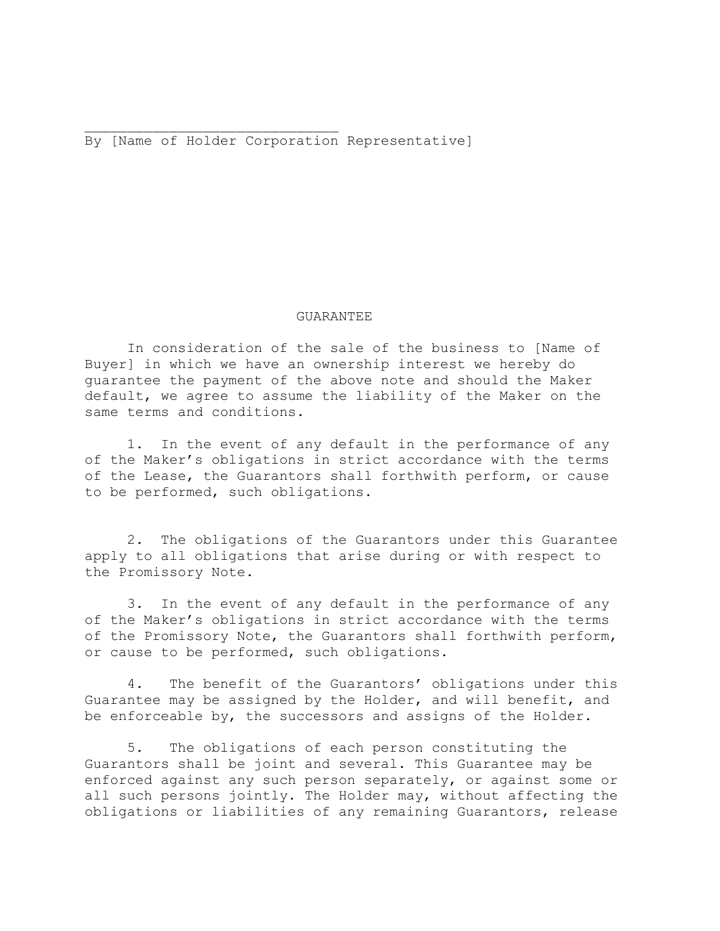By [Name of Holder Corporation Representative]

## GUARANTEE

In consideration of the sale of the business to [Name of Buyer] in which we have an ownership interest we hereby do guarantee the payment of the above note and should the Maker default, we agree to assume the liability of the Maker on the same terms and conditions.

1. In the event of any default in the performance of any of the Maker's obligations in strict accordance with the terms of the Lease, the Guarantors shall forthwith perform, or cause to be performed, such obligations.

2. The obligations of the Guarantors under this Guarantee apply to all obligations that arise during or with respect to the Promissory Note.

3. In the event of any default in the performance of any of the Maker's obligations in strict accordance with the terms of the Promissory Note, the Guarantors shall forthwith perform, or cause to be performed, such obligations.

4. The benefit of the Guarantors' obligations under this Guarantee may be assigned by the Holder, and will benefit, and be enforceable by, the successors and assigns of the Holder.

5. The obligations of each person constituting the Guarantors shall be joint and several. This Guarantee may be enforced against any such person separately, or against some or all such persons jointly. The Holder may, without affecting the obligations or liabilities of any remaining Guarantors, release